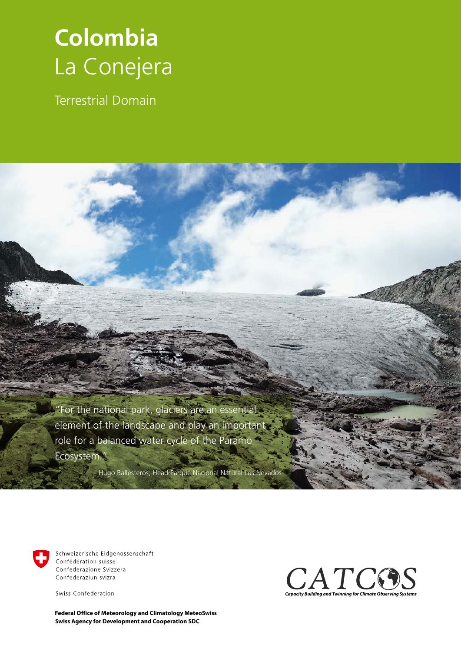## **Colombia** La Conejera

Terrestrial Domain

"For the national park, glaciers are an essential element of the landscape and play an important role for a balanced water cycle of the Páramo Ecosystem."

– Hugo Ballesteros, Head Parque Nacional Natural Los Nevados



Schweizerische Eidgenossenschaft Confédération suisse Confederazione Svizzera Confederaziun svizra

Swiss Confederation

**Swiss Agency for Development and Cooperation SDC Federal Office of Meteorology and Climatology MeteoSwiss**